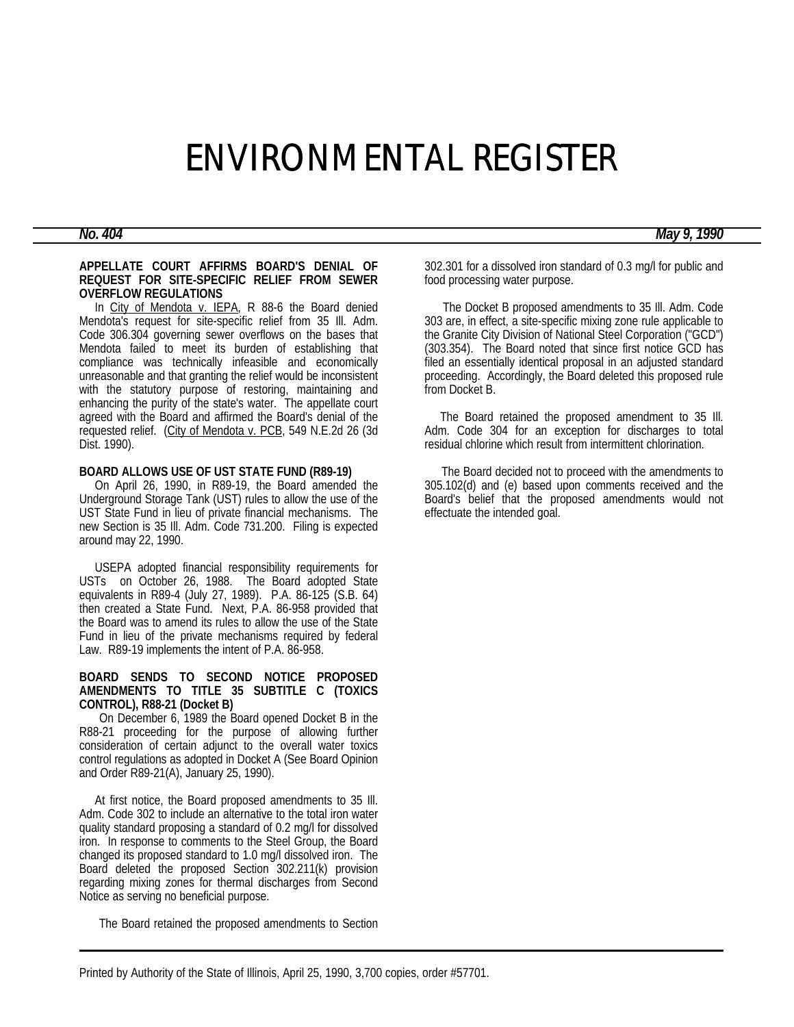# ENVIRONMENTAL REGISTER

# *No. 404 May 9, 1990*

#### **APPELLATE COURT AFFIRMS BOARD'S DENIAL OF REQUEST FOR SITE-SPECIFIC RELIEF FROM SEWER OVERFLOW REGULATIONS**

In City of Mendota v. IEPA, R 88-6 the Board denied Mendota's request for site-specific relief from 35 Ill. Adm. Code 306.304 governing sewer overflows on the bases that Mendota failed to meet its burden of establishing that compliance was technically infeasible and economically unreasonable and that granting the relief would be inconsistent with the statutory purpose of restoring, maintaining and enhancing the purity of the state's water. The appellate court agreed with the Board and affirmed the Board's denial of the requested relief. (City of Mendota v. PCB, 549 N.E.2d 26 (3d Dist. 1990).

#### **BOARD ALLOWS USE OF UST STATE FUND (R89-19)**

 On April 26, 1990, in R89-19, the Board amended the Underground Storage Tank (UST) rules to allow the use of the UST State Fund in lieu of private financial mechanisms. The new Section is 35 Ill. Adm. Code 731.200. Filing is expected around may 22, 1990.

 USEPA adopted financial responsibility requirements for USTs on October 26, 1988. The Board adopted State equivalents in R89-4 (July 27, 1989). P.A. 86-125 (S.B. 64) then created a State Fund. Next, P.A. 86-958 provided that the Board was to amend its rules to allow the use of the State Fund in lieu of the private mechanisms required by federal Law. R89-19 implements the intent of P.A. 86-958.

### **BOARD SENDS TO SECOND NOTICE PROPOSED AMENDMENTS TO TITLE 35 SUBTITLE C (TOXICS CONTROL), R88-21 (Docket B)**

 On December 6, 1989 the Board opened Docket B in the R88-21 proceeding for the purpose of allowing further consideration of certain adjunct to the overall water toxics control regulations as adopted in Docket A (See Board Opinion and Order R89-21(A), January 25, 1990).

 At first notice, the Board proposed amendments to 35 Ill. Adm. Code 302 to include an alternative to the total iron water quality standard proposing a standard of 0.2 mg/l for dissolved iron. In response to comments to the Steel Group, the Board changed its proposed standard to 1.0 mg/l dissolved iron. The Board deleted the proposed Section 302.211(k) provision regarding mixing zones for thermal discharges from Second Notice as serving no beneficial purpose.

The Board retained the proposed amendments to Section

302.301 for a dissolved iron standard of 0.3 mg/l for public and food processing water purpose.

 The Docket B proposed amendments to 35 Ill. Adm. Code 303 are, in effect, a site-specific mixing zone rule applicable to the Granite City Division of National Steel Corporation ("GCD") (303.354). The Board noted that since first notice GCD has filed an essentially identical proposal in an adjusted standard proceeding. Accordingly, the Board deleted this proposed rule from Docket B.

 The Board retained the proposed amendment to 35 Ill. Adm. Code 304 for an exception for discharges to total residual chlorine which result from intermittent chlorination.

 The Board decided not to proceed with the amendments to 305.102(d) and (e) based upon comments received and the Board's belief that the proposed amendments would not effectuate the intended goal.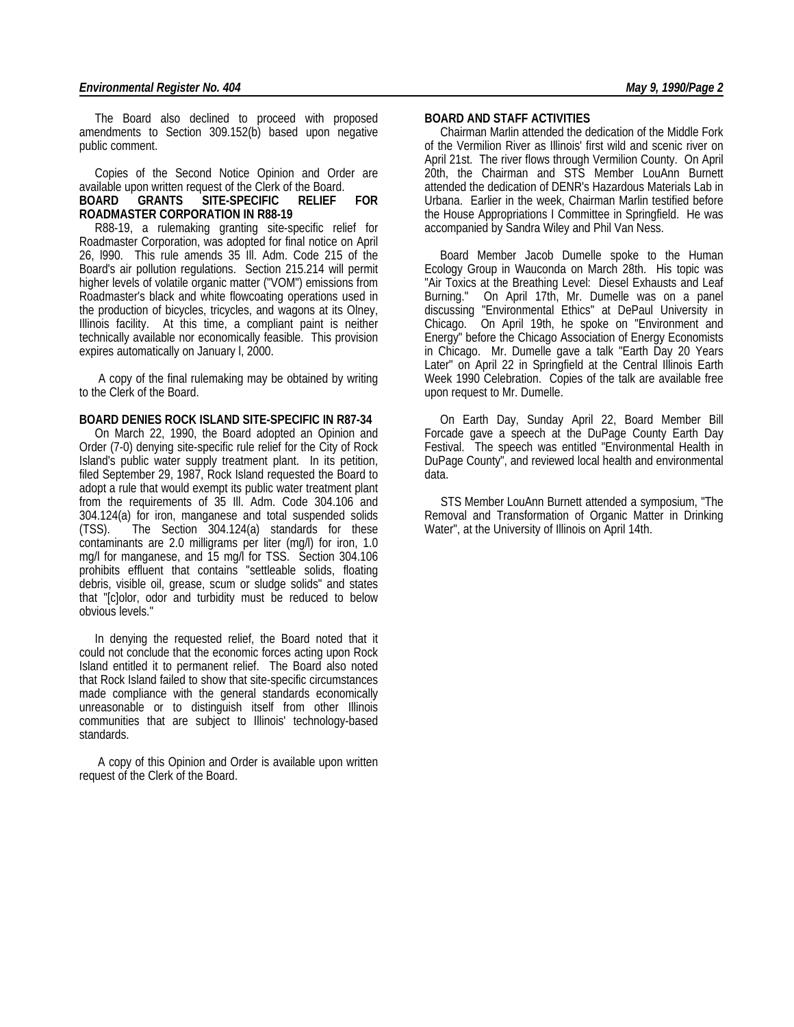The Board also declined to proceed with proposed amendments to Section 309.152(b) based upon negative public comment.

 Copies of the Second Notice Opinion and Order are available upon written request of the Clerk of the Board.

#### **BOARD GRANTS SITE-SPECIFIC RELIEF FOR ROADMASTER CORPORATION IN R88-19**

 R88-19, a rulemaking granting site-specific relief for Roadmaster Corporation, was adopted for final notice on April 26, l990. This rule amends 35 Ill. Adm. Code 215 of the Board's air pollution regulations. Section 215.214 will permit higher levels of volatile organic matter ("VOM") emissions from Roadmaster's black and white flowcoating operations used in the production of bicycles, tricycles, and wagons at its Olney, Illinois facility. At this time, a compliant paint is neither technically available nor economically feasible. This provision expires automatically on January I, 2000.

 A copy of the final rulemaking may be obtained by writing to the Clerk of the Board.

#### **BOARD DENIES ROCK ISLAND SITE-SPECIFIC IN R87-34**

 On March 22, 1990, the Board adopted an Opinion and Order (7-0) denying site-specific rule relief for the City of Rock Island's public water supply treatment plant. In its petition, filed September 29, 1987, Rock Island requested the Board to adopt a rule that would exempt its public water treatment plant from the requirements of 35 Ill. Adm. Code 304.106 and 304.124(a) for iron, manganese and total suspended solids  $(TSS)$ . The Section  $304.124(a)$  standards for these contaminants are 2.0 milligrams per liter (mg/l) for iron, 1.0 mg/l for manganese, and 15 mg/l for TSS. Section 304.106 prohibits effluent that contains "settleable solids, floating debris, visible oil, grease, scum or sludge solids" and states that "[c]olor, odor and turbidity must be reduced to below obvious levels."

 In denying the requested relief, the Board noted that it could not conclude that the economic forces acting upon Rock Island entitled it to permanent relief. The Board also noted that Rock Island failed to show that site-specific circumstances made compliance with the general standards economically unreasonable or to distinguish itself from other Illinois communities that are subject to Illinois' technology-based standards.

 A copy of this Opinion and Order is available upon written request of the Clerk of the Board.

#### **BOARD AND STAFF ACTIVITIES**

 Chairman Marlin attended the dedication of the Middle Fork of the Vermilion River as Illinois' first wild and scenic river on April 21st. The river flows through Vermilion County. On April 20th, the Chairman and STS Member LouAnn Burnett attended the dedication of DENR's Hazardous Materials Lab in Urbana. Earlier in the week, Chairman Marlin testified before the House Appropriations I Committee in Springfield. He was accompanied by Sandra Wiley and Phil Van Ness.

 Board Member Jacob Dumelle spoke to the Human Ecology Group in Wauconda on March 28th. His topic was "Air Toxics at the Breathing Level: Diesel Exhausts and Leaf Burning." On April 17th, Mr. Dumelle was on a panel discussing "Environmental Ethics" at DePaul University in Chicago. On April 19th, he spoke on "Environment and Energy" before the Chicago Association of Energy Economists in Chicago. Mr. Dumelle gave a talk "Earth Day 20 Years Later" on April 22 in Springfield at the Central Illinois Earth Week 1990 Celebration. Copies of the talk are available free upon request to Mr. Dumelle.

 On Earth Day, Sunday April 22, Board Member Bill Forcade gave a speech at the DuPage County Earth Day Festival. The speech was entitled "Environmental Health in DuPage County", and reviewed local health and environmental data.

 STS Member LouAnn Burnett attended a symposium, "The Removal and Transformation of Organic Matter in Drinking Water", at the University of Illinois on April 14th.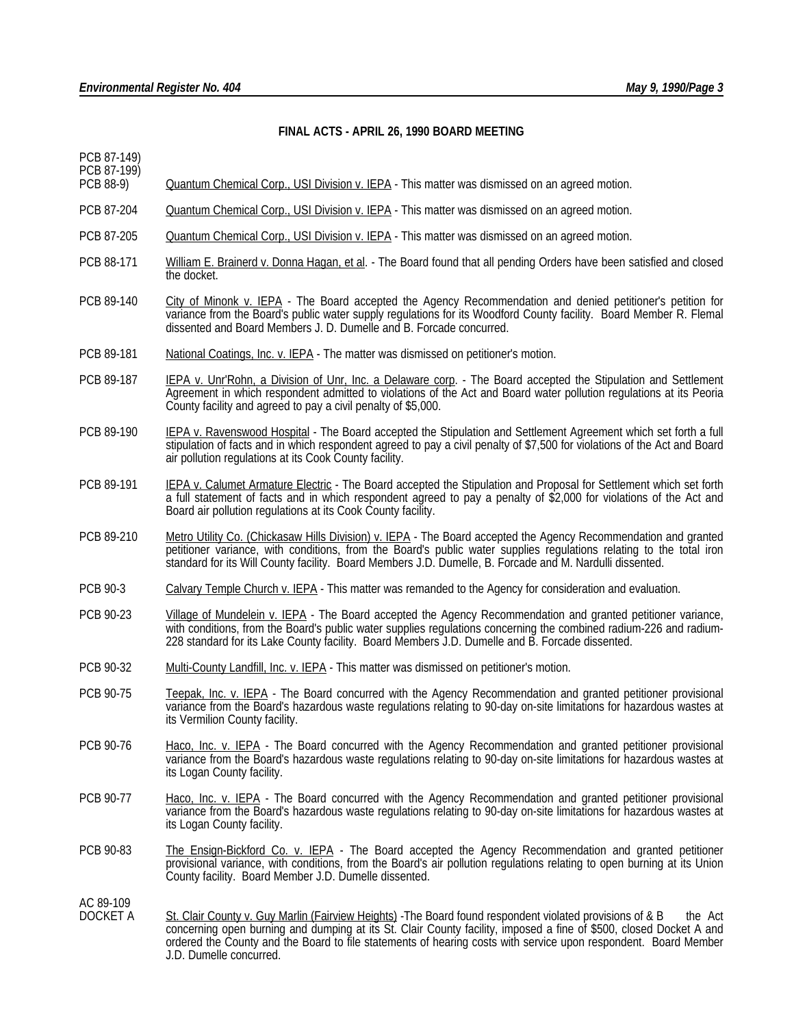# **FINAL ACTS - APRIL 26, 1990 BOARD MEETING**

| PCB 87-149)<br>PCB 87-199) |                                                                                                                                                                                                                                                                                                                                                                                          |
|----------------------------|------------------------------------------------------------------------------------------------------------------------------------------------------------------------------------------------------------------------------------------------------------------------------------------------------------------------------------------------------------------------------------------|
| PCB 88-9)                  | <b>Quantum Chemical Corp., USI Division v. IEPA</b> - This matter was dismissed on an agreed motion.                                                                                                                                                                                                                                                                                     |
| PCB 87-204                 | Quantum Chemical Corp., USI Division v. IEPA - This matter was dismissed on an agreed motion.                                                                                                                                                                                                                                                                                            |
| PCB 87-205                 | <b>Quantum Chemical Corp., USI Division v. IEPA</b> - This matter was dismissed on an agreed motion.                                                                                                                                                                                                                                                                                     |
| PCB 88-171                 | William E. Brainerd v. Donna Hagan, et al. - The Board found that all pending Orders have been satisfied and closed<br>the docket.                                                                                                                                                                                                                                                       |
| PCB 89-140                 | City of Minonk v. IEPA - The Board accepted the Agency Recommendation and denied petitioner's petition for<br>variance from the Board's public water supply regulations for its Woodford County facility. Board Member R. Flemal<br>dissented and Board Members J. D. Dumelle and B. Forcade concurred.                                                                                  |
| PCB 89-181                 | National Coatings, Inc. v. IEPA - The matter was dismissed on petitioner's motion.                                                                                                                                                                                                                                                                                                       |
| PCB 89-187                 | IEPA v. Unr'Rohn, a Division of Unr, Inc. a Delaware corp. - The Board accepted the Stipulation and Settlement<br>Agreement in which respondent admitted to violations of the Act and Board water pollution regulations at its Peoria<br>County facility and agreed to pay a civil penalty of \$5,000.                                                                                   |
| PCB 89-190                 | IEPA v. Ravenswood Hospital - The Board accepted the Stipulation and Settlement Agreement which set forth a full<br>stipulation of facts and in which respondent agreed to pay a civil penalty of \$7,500 for violations of the Act and Board<br>air pollution regulations at its Cook County facility.                                                                                  |
| PCB 89-191                 | IEPA v. Calumet Armature Electric - The Board accepted the Stipulation and Proposal for Settlement which set forth<br>a full statement of facts and in which respondent agreed to pay a penalty of \$2,000 for violations of the Act and<br>Board air pollution regulations at its Cook County facility.                                                                                 |
| PCB 89-210                 | Metro Utility Co. (Chickasaw Hills Division) v. IEPA - The Board accepted the Agency Recommendation and granted<br>petitioner variance, with conditions, from the Board's public water supplies regulations relating to the total iron<br>standard for its Will County facility. Board Members J.D. Dumelle, B. Forcade and M. Nardulli dissented.                                       |
| PCB 90-3                   | Calvary Temple Church v. IEPA - This matter was remanded to the Agency for consideration and evaluation.                                                                                                                                                                                                                                                                                 |
| PCB 90-23                  | Village of Mundelein v. IEPA - The Board accepted the Agency Recommendation and granted petitioner variance,<br>with conditions, from the Board's public water supplies regulations concerning the combined radium-226 and radium-<br>228 standard for its Lake County facility. Board Members J.D. Dumelle and B. Forcade dissented.                                                    |
| PCB 90-32                  | Multi-County Landfill, Inc. v. IEPA - This matter was dismissed on petitioner's motion.                                                                                                                                                                                                                                                                                                  |
| PCB 90-75                  | Teepak, Inc. v. IEPA - The Board concurred with the Agency Recommendation and granted petitioner provisional<br>variance from the Board's hazardous waste regulations relating to 90-day on-site limitations for hazardous wastes at<br>its Vermilion County facility.                                                                                                                   |
| PCB 90-76                  | Haco, Inc. v. IEPA - The Board concurred with the Agency Recommendation and granted petitioner provisional<br>variance from the Board's hazardous waste regulations relating to 90-day on-site limitations for hazardous wastes at<br>its Logan County facility.                                                                                                                         |
| PCB 90-77                  | Haco, Inc. v. IEPA - The Board concurred with the Agency Recommendation and granted petitioner provisional<br>variance from the Board's hazardous waste regulations relating to 90-day on-site limitations for hazardous wastes at<br>its Logan County facility.                                                                                                                         |
| PCB 90-83                  | The Ensign-Bickford Co. v. IEPA - The Board accepted the Agency Recommendation and granted petitioner<br>provisional variance, with conditions, from the Board's air pollution regulations relating to open burning at its Union<br>County facility. Board Member J.D. Dumelle dissented.                                                                                                |
| AC 89-109<br>DOCKET A      | St. Clair County v. Guy Marlin (Fairview Heights) - The Board found respondent violated provisions of & B<br>the Act<br>concerning open burning and dumping at its St. Clair County facility, imposed a fine of \$500, closed Docket A and<br>ordered the County and the Board to file statements of hearing costs with service upon respondent. Board Member<br>J.D. Dumelle concurred. |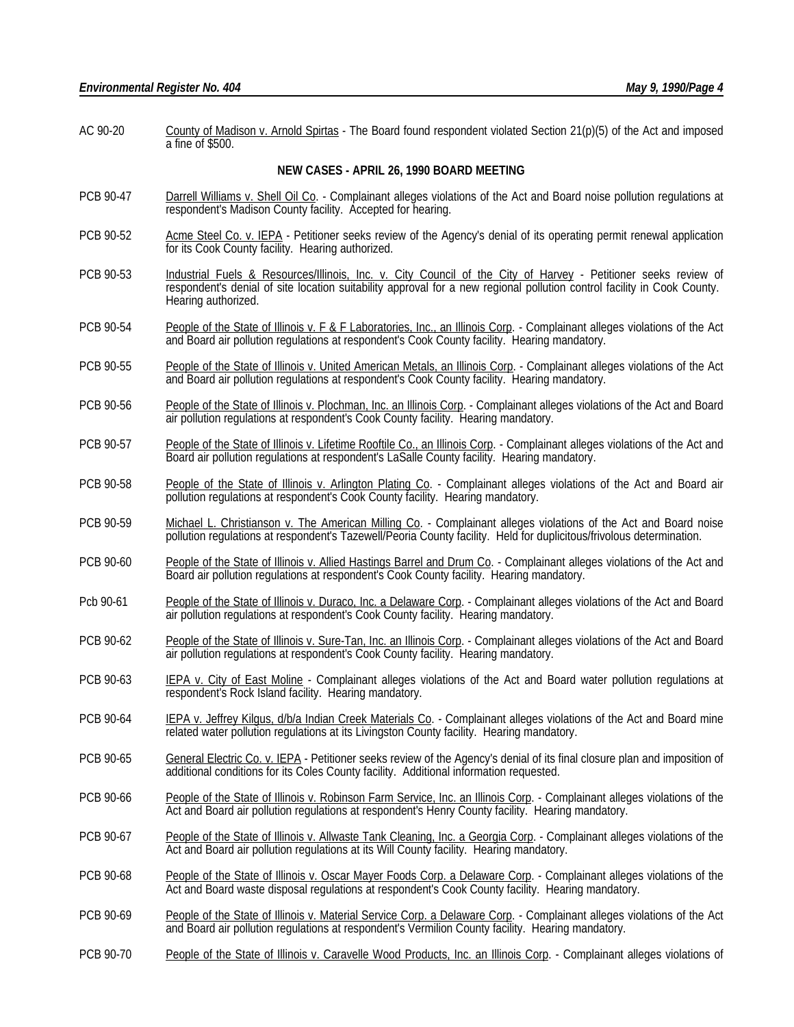AC 90-20 County of Madison v. Arnold Spirtas - The Board found respondent violated Section 21(p)(5) of the Act and imposed a fine of \$500.

#### **NEW CASES - APRIL 26, 1990 BOARD MEETING**

- PCB 90-47 Darrell Williams v. Shell Oil Co. Complainant alleges violations of the Act and Board noise pollution regulations at respondent's Madison County facility. Accepted for hearing.
- PCB 90-52 Acme Steel Co. v. IEPA Petitioner seeks review of the Agency's denial of its operating permit renewal application for its Cook County facility. Hearing authorized.
- PCB 90-53 Industrial Fuels & Resources/Illinois, Inc. v. City Council of the City of Harvey Petitioner seeks review of respondent's denial of site location suitability approval for a new regional pollution control facility in Cook County. Hearing authorized.
- PCB 90-54 People of the State of Illinois v. F & F Laboratories, Inc., an Illinois Corp. Complainant alleges violations of the Act and Board air pollution regulations at respondent's Cook County facility. Hearing mandatory.
- PCB 90-55 People of the State of Illinois v. United American Metals, an Illinois Corp. Complainant alleges violations of the Act and Board air pollution regulations at respondent's Cook County facility. Hearing mandatory.
- PCB 90-56 People of the State of Illinois v. Plochman, Inc. an Illinois Corp. Complainant alleges violations of the Act and Board air pollution regulations at respondent's Cook County facility. Hearing mandatory.
- PCB 90-57 People of the State of Illinois v. Lifetime Rooftile Co., an Illinois Corp. Complainant alleges violations of the Act and Board air pollution regulations at respondent's LaSalle County facility. Hearing mandatory.
- PCB 90-58 People of the State of Illinois v. Arlington Plating Co. Complainant alleges violations of the Act and Board air pollution regulations at respondent's Cook County facility. Hearing mandatory.
- PCB 90-59 Michael L. Christianson v. The American Milling Co. Complainant alleges violations of the Act and Board noise pollution regulations at respondent's Tazewell/Peoria County facility. Held for duplicitous/frivolous determination.
- PCB 90-60 People of the State of Illinois v. Allied Hastings Barrel and Drum Co. Complainant alleges violations of the Act and Board air pollution regulations at respondent's Cook County facility. Hearing mandatory.
- Pcb 90-61 People of the State of Illinois v. Duraco, Inc. a Delaware Corp. Complainant alleges violations of the Act and Board air pollution regulations at respondent's Cook County facility. Hearing mandatory.
- PCB 90-62 People of the State of Illinois v. Sure-Tan, Inc. an Illinois Corp. Complainant alleges violations of the Act and Board air pollution regulations at respondent's Cook County facility. Hearing mandatory.
- PCB 90-63 IEPA v. City of East Moline Complainant alleges violations of the Act and Board water pollution regulations at respondent's Rock Island facility. Hearing mandatory.
- PCB 90-64 IEPA v. Jeffrey Kilgus, d/b/a Indian Creek Materials Co. Complainant alleges violations of the Act and Board mine related water pollution regulations at its Livingston County facility. Hearing mandatory.
- PCB 90-65 General Electric Co. v. IEPA Petitioner seeks review of the Agency's denial of its final closure plan and imposition of additional conditions for its Coles County facility. Additional information requested.
- PCB 90-66 People of the State of Illinois v. Robinson Farm Service, Inc. an Illinois Corp. Complainant alleges violations of the Act and Board air pollution regulations at respondent's Henry County facility. Hearing mandatory.
- PCB 90-67 People of the State of Illinois v. Allwaste Tank Cleaning, Inc. a Georgia Corp. Complainant alleges violations of the Act and Board air pollution regulations at its Will County facility. Hearing mandatory.
- PCB 90-68 People of the State of Illinois v. Oscar Mayer Foods Corp. a Delaware Corp. Complainant alleges violations of the Act and Board waste disposal regulations at respondent's Cook County facility. Hearing mandatory.
- PCB 90-69 People of the State of Illinois v. Material Service Corp. a Delaware Corp. Complainant alleges violations of the Act and Board air pollution regulations at respondent's Vermilion County facility. Hearing mandatory.
- PCB 90-70 People of the State of Illinois v. Caravelle Wood Products, Inc. an Illinois Corp. Complainant alleges violations of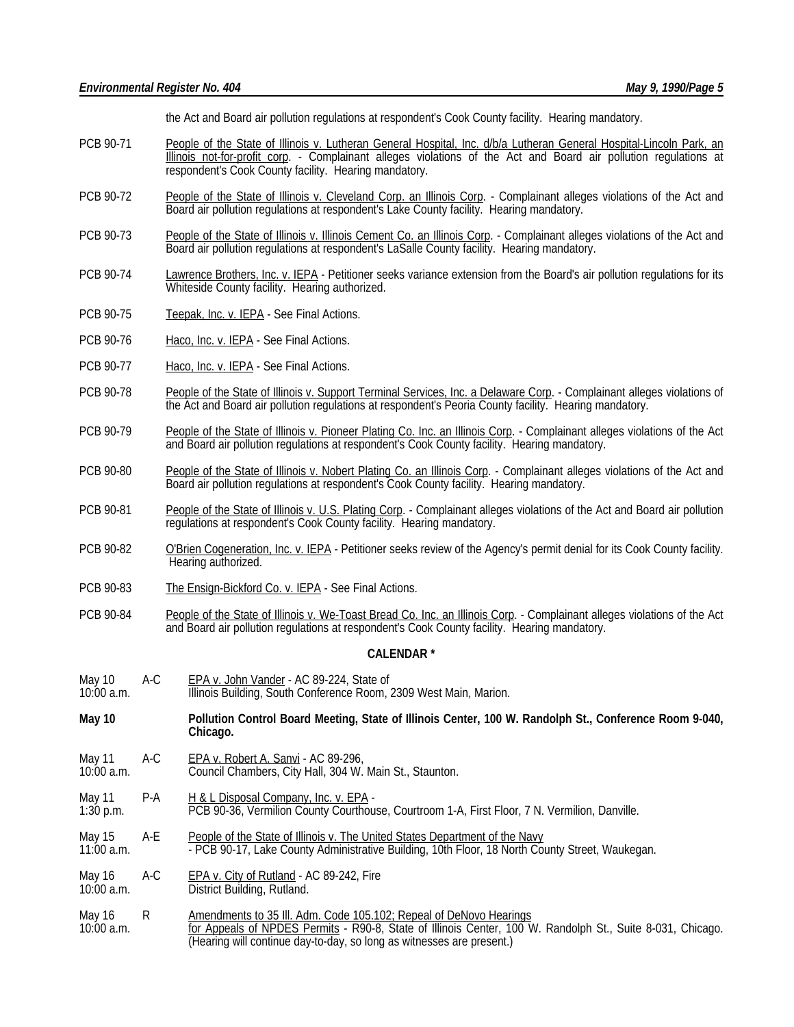the Act and Board air pollution regulations at respondent's Cook County facility. Hearing mandatory.

- PCB 90-71 People of the State of Illinois v. Lutheran General Hospital, Inc. d/b/a Lutheran General Hospital-Lincoln Park, an Illinois not-for-profit corp. - Complainant alleges violations of the Act and Board air pollution regulations at respondent's Cook County facility. Hearing mandatory.
- PCB 90-72 People of the State of Illinois v. Cleveland Corp. an Illinois Corp. Complainant alleges violations of the Act and Board air pollution regulations at respondent's Lake County facility. Hearing mandatory.
- PCB 90-73 People of the State of Illinois v. Illinois Cement Co. an Illinois Corp. Complainant alleges violations of the Act and Board air pollution regulations at respondent's LaSalle County facility. Hearing mandatory.
- PCB 90-74 Lawrence Brothers, Inc. v. IEPA Petitioner seeks variance extension from the Board's air pollution regulations for its Whiteside County facility. Hearing authorized.
- PCB 90-75 Teepak, Inc. v. IEPA See Final Actions.
- PCB 90-76 Haco, Inc. v. IEPA See Final Actions.
- PCB 90-77 Haco, Inc. v. IEPA See Final Actions.
- PCB 90-78 People of the State of Illinois v. Support Terminal Services, Inc. a Delaware Corp. Complainant alleges violations of the Act and Board air pollution regulations at respondent's Peoria County facility. Hearing mandatory.
- PCB 90-79 People of the State of Illinois v. Pioneer Plating Co. Inc. an Illinois Corp. Complainant alleges violations of the Act and Board air pollution regulations at respondent's Cook County facility. Hearing mandatory.
- PCB 90-80 People of the State of Illinois v. Nobert Plating Co. an Illinois Corp. Complainant alleges violations of the Act and Board air pollution regulations at respondent's Cook County facility. Hearing mandatory.
- PCB 90-81 People of the State of Illinois v. U.S. Plating Corp. Complainant alleges violations of the Act and Board air pollution regulations at respondent's Cook County facility. Hearing mandatory.
- PCB 90-82 O'Brien Cogeneration, Inc. v. IEPA Petitioner seeks review of the Agency's permit denial for its Cook County facility. Hearing authorized.
- PCB 90-83 The Ensign-Bickford Co. v. IEPA See Final Actions.
- PCB 90-84 People of the State of Illinois v. We-Toast Bread Co. Inc. an Illinois Corp. Complainant alleges violations of the Act and Board air pollution regulations at respondent's Cook County facility. Hearing mandatory.

#### **CALENDAR \***

- May 10 A-C EPA v. John Vander AC 89-224, State of UD Book Conference Room,
- Illinois Building, South Conference Room, 2309 West Main, Marion.
- **May 10 Pollution Control Board Meeting, State of Illinois Center, 100 W. Randolph St., Conference Room 9-040, Chicago.**
- May 11 A-C EPA v. Robert A. Sanvi AC 89-296,<br>10:00 a.m. Council Chambers. City Hall. 304 W.
- Council Chambers, City Hall, 304 W. Main St., Staunton.
- May 11 P-A H & L Disposal Company, Inc. v. EPA -<br>1:30 p.m. PCB 90-36, Vermilion County Courthou 1:30 p.m. PCB 90-36, Vermilion County Courthouse, Courtroom 1-A, First Floor, 7 N. Vermilion, Danville.
- May 15 A-E People of the State of Illinois v. The United States Department of the Navy<br>11:00 a.m. **PCB 90-17, Lake County Administrative Building, 10th Floor, 18 North Co** - PCB 90-17, Lake County Administrative Building, 10th Floor, 18 North County Street, Waukegan.
- May 16 A-C EPA v. City of Rutland AC 89-242, Fire 10:00 a.m. District Building, Rutland.
- May 16 R Amendments to 35 III. Adm. Code 105.102; Repeal of DeNovo Hearings<br>10:00 a.m. 6 for Appeals of NPDES Permits R90-8. State of Illinois Center, 100 V for Appeals of NPDES Permits - R90-8, State of Illinois Center, 100 W. Randolph St., Suite 8-031, Chicago. (Hearing will continue day-to-day, so long as witnesses are present.)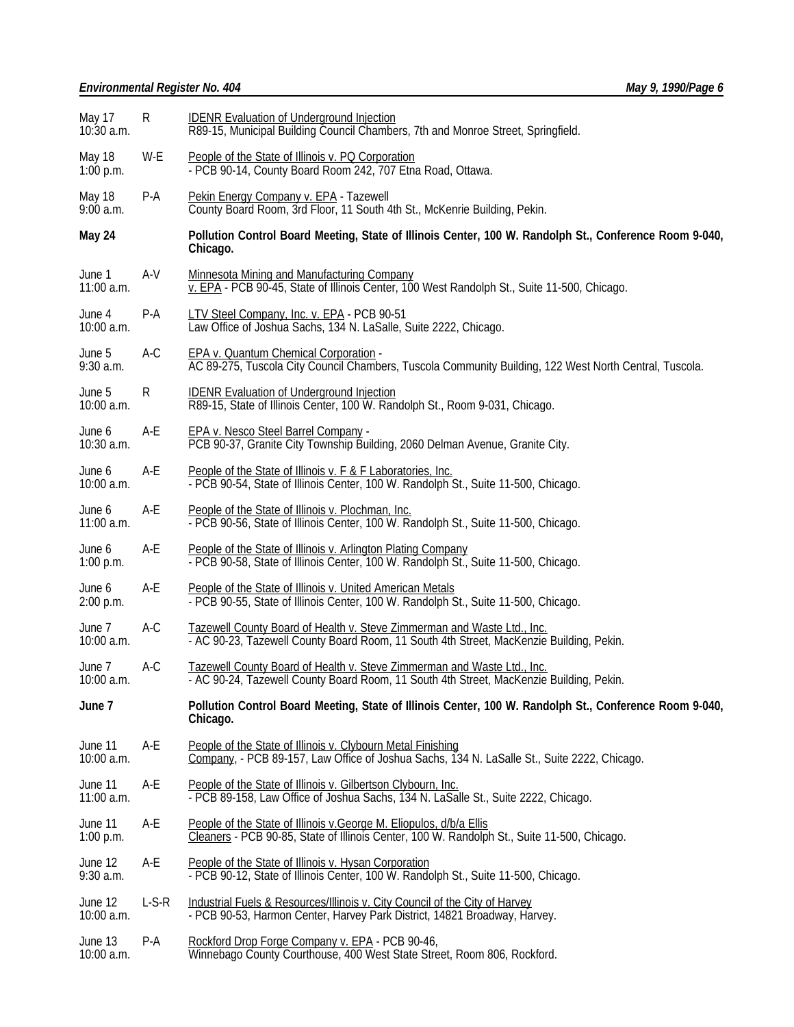# *Environmental Register No. 404 May 9, 1990/Page 6*

| May 17<br>$10:30$ a.m. | $\mathsf{R}$                                                                                                                                                    | <b>IDENR Evaluation of Underground Injection</b><br>R89-15, Municipal Building Council Chambers, 7th and Monroe Street, Springfield.                               |  |  |
|------------------------|-----------------------------------------------------------------------------------------------------------------------------------------------------------------|--------------------------------------------------------------------------------------------------------------------------------------------------------------------|--|--|
| May 18<br>$1:00$ p.m.  | W-E                                                                                                                                                             | People of the State of Illinois v. PQ Corporation<br>- PCB 90-14, County Board Room 242, 707 Etna Road, Ottawa.                                                    |  |  |
| May 18<br>$9:00$ a.m.  | P-A                                                                                                                                                             | Pekin Energy Company v. EPA - Tazewell<br>County Board Room, 3rd Floor, 11 South 4th St., McKenrie Building, Pekin.                                                |  |  |
| May 24                 |                                                                                                                                                                 | Pollution Control Board Meeting, State of Illinois Center, 100 W. Randolph St., Conference Room 9-040,<br>Chicago.                                                 |  |  |
| June 1<br>11:00 a.m.   | A-V                                                                                                                                                             | <b>Minnesota Mining and Manufacturing Company</b><br>v. EPA - PCB 90-45, State of Illinois Center, 100 West Randolph St., Suite 11-500, Chicago.                   |  |  |
| June 4<br>10:00 a.m.   | P-A                                                                                                                                                             | LTV Steel Company, Inc. v. EPA - PCB 90-51<br>Law Office of Joshua Sachs, 134 N. LaSalle, Suite 2222, Chicago.                                                     |  |  |
| June 5<br>$9:30$ a.m.  | $A-C$<br><b>EPA v. Quantum Chemical Corporation -</b><br>AC 89-275, Tuscola City Council Chambers, Tuscola Community Building, 122 West North Central, Tuscola. |                                                                                                                                                                    |  |  |
| June 5<br>10:00 a.m.   | R                                                                                                                                                               | <b>IDENR Evaluation of Underground Injection</b><br>R89-15, State of Illinois Center, 100 W. Randolph St., Room 9-031, Chicago.                                    |  |  |
| June 6<br>10:30 a.m.   | A-E                                                                                                                                                             | <b>EPA v. Nesco Steel Barrel Company -</b><br>PCB 90-37, Granite City Township Building, 2060 Delman Avenue, Granite City.                                         |  |  |
| June 6<br>$10:00$ a.m. | A-E                                                                                                                                                             | People of the State of Illinois v. F & F Laboratories, Inc.<br>- PCB 90-54, State of Illinois Center, 100 W. Randolph St., Suite 11-500, Chicago.                  |  |  |
| June 6<br>11:00 a.m.   | A-E                                                                                                                                                             | People of the State of Illinois v. Plochman, Inc.<br>- PCB 90-56, State of Illinois Center, 100 W. Randolph St., Suite 11-500, Chicago.                            |  |  |
| June 6<br>$1:00$ p.m.  | A-E                                                                                                                                                             | People of the State of Illinois v. Arlington Plating Company<br>- PCB 90-58, State of Illinois Center, 100 W. Randolph St., Suite 11-500, Chicago.                 |  |  |
| June 6<br>2:00 p.m.    | A-E                                                                                                                                                             | People of the State of Illinois v. United American Metals<br>- PCB 90-55, State of Illinois Center, 100 W. Randolph St., Suite 11-500, Chicago.                    |  |  |
| June 7<br>10:00 a.m.   | A-C                                                                                                                                                             | Tazewell County Board of Health v. Steve Zimmerman and Waste Ltd., Inc.<br>- AC 90-23, Tazewell County Board Room, 11 South 4th Street, MacKenzie Building, Pekin. |  |  |
| June 7<br>10:00 a.m.   | $A-C$                                                                                                                                                           | Tazewell County Board of Health v. Steve Zimmerman and Waste Ltd., Inc.<br>- AC 90-24, Tazewell County Board Room, 11 South 4th Street, MacKenzie Building, Pekin. |  |  |
| June 7                 |                                                                                                                                                                 | Pollution Control Board Meeting, State of Illinois Center, 100 W. Randolph St., Conference Room 9-040,<br>Chicago.                                                 |  |  |
| June 11<br>10:00 a.m.  | A-E                                                                                                                                                             | People of the State of Illinois v. Clybourn Metal Finishing<br>Company, - PCB 89-157, Law Office of Joshua Sachs, 134 N. LaSalle St., Suite 2222, Chicago.         |  |  |
| June 11<br>11:00 a.m.  | A-E                                                                                                                                                             | People of the State of Illinois v. Gilbertson Clybourn, Inc.<br>- PCB 89-158, Law Office of Joshua Sachs, 134 N. LaSalle St., Suite 2222, Chicago.                 |  |  |
| June 11<br>$1:00$ p.m. | A-E                                                                                                                                                             | People of the State of Illinois v. George M. Eliopulos, d/b/a Ellis<br>Cleaners - PCB 90-85, State of Illinois Center, 100 W. Randolph St., Suite 11-500, Chicago. |  |  |
| June 12<br>$9:30$ a.m. | A-E                                                                                                                                                             | People of the State of Illinois v. Hysan Corporation<br>- PCB 90-12, State of Illinois Center, 100 W. Randolph St., Suite 11-500, Chicago.                         |  |  |
| June 12<br>10:00 a.m.  | $L-S-R$                                                                                                                                                         | Industrial Fuels & Resources/Illinois v. City Council of the City of Harvey<br>- PCB 90-53, Harmon Center, Harvey Park District, 14821 Broadway, Harvey.           |  |  |
| June 13<br>10:00 a.m.  | P-A                                                                                                                                                             | Rockford Drop Forge Company v. EPA - PCB 90-46,<br>Winnebago County Courthouse, 400 West State Street, Room 806, Rockford.                                         |  |  |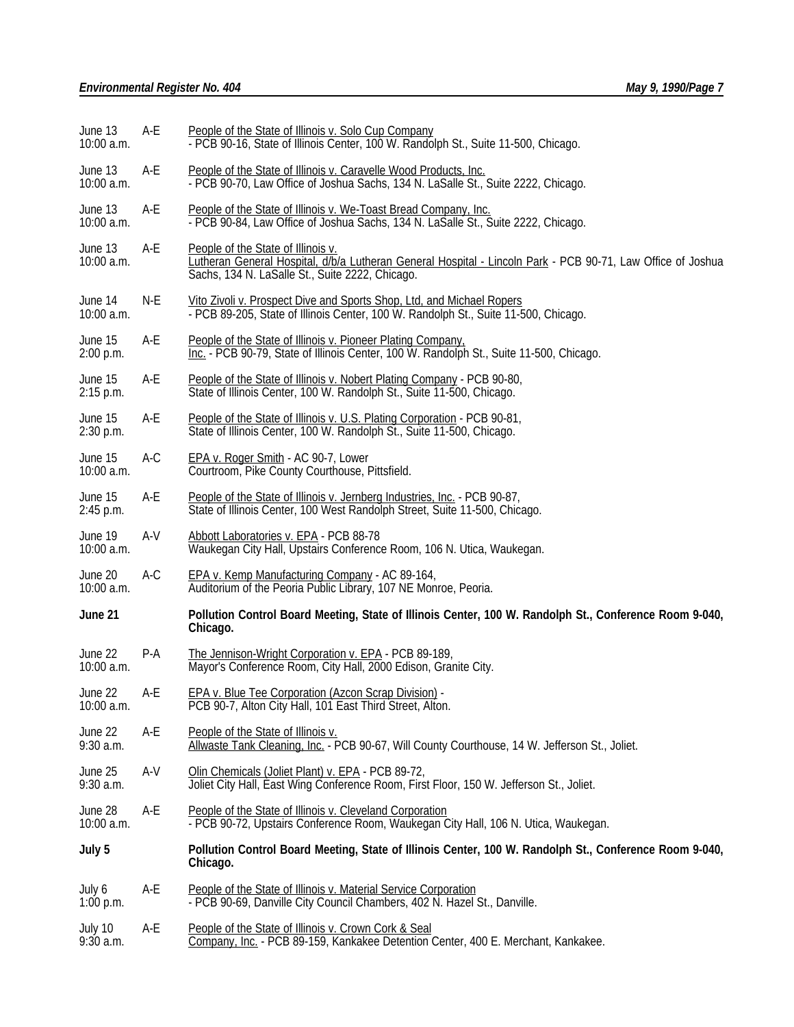| June 13<br>10:00 a.m.   | A-E   | People of the State of Illinois v. Solo Cup Company<br>- PCB 90-16, State of Illinois Center, 100 W. Randolph St., Suite 11-500, Chicago.                                                            |  |  |
|-------------------------|-------|------------------------------------------------------------------------------------------------------------------------------------------------------------------------------------------------------|--|--|
| June 13<br>10:00 a.m.   | A-E   | People of the State of Illinois v. Caravelle Wood Products, Inc.<br>- PCB 90-70, Law Office of Joshua Sachs, 134 N. LaSalle St., Suite 2222, Chicago.                                                |  |  |
| June 13<br>10:00 a.m.   | A-E   | People of the State of Illinois v. We-Toast Bread Company, Inc.<br>- PCB 90-84, Law Office of Joshua Sachs, 134 N. LaSalle St., Suite 2222, Chicago.                                                 |  |  |
| June 13<br>10:00 a.m.   | A-E   | People of the State of Illinois v.<br>Lutheran General Hospital, d/b/a Lutheran General Hospital - Lincoln Park - PCB 90-71, Law Office of Joshua<br>Sachs, 134 N. LaSalle St., Suite 2222, Chicago. |  |  |
| June 14<br>10:00 a.m.   | N-E   | Vito Zivoli v. Prospect Dive and Sports Shop, Ltd, and Michael Ropers<br>- PCB 89-205, State of Illinois Center, 100 W. Randolph St., Suite 11-500, Chicago.                                         |  |  |
| June 15<br>2:00 p.m.    | A-E   | People of the State of Illinois v. Pioneer Plating Company.<br>Inc. - PCB 90-79, State of Illinois Center, 100 W. Randolph St., Suite 11-500, Chicago.                                               |  |  |
| June 15<br>$2:15$ p.m.  | A-E   | People of the State of Illinois v. Nobert Plating Company - PCB 90-80,<br>State of Illinois Center, 100 W. Randolph St., Suite 11-500, Chicago.                                                      |  |  |
| June 15<br>$2:30$ p.m.  | A-E   | People of the State of Illinois v. U.S. Plating Corporation - PCB 90-81,<br>State of Illinois Center, 100 W. Randolph St., Suite 11-500, Chicago.                                                    |  |  |
| June 15<br>10:00 a.m.   | A-C   | EPA v. Roger Smith - AC 90-7, Lower<br>Courtroom, Pike County Courthouse, Pittsfield.                                                                                                                |  |  |
| June 15<br>2:45 p.m.    | A-E   | People of the State of Illinois v. Jernberg Industries, Inc. - PCB 90-87,<br>State of Illinois Center, 100 West Randolph Street, Suite 11-500, Chicago.                                              |  |  |
| June 19<br>10:00 a.m.   | A-V   | Abbott Laboratories v. EPA - PCB 88-78<br>Waukegan City Hall, Upstairs Conference Room, 106 N. Utica, Waukegan.                                                                                      |  |  |
| June 20<br>10:00 a.m.   | A-C   | EPA v. Kemp Manufacturing Company - AC 89-164,<br>Auditorium of the Peoria Public Library, 107 NE Monroe, Peoria.                                                                                    |  |  |
| June 21                 |       | Pollution Control Board Meeting, State of Illinois Center, 100 W. Randolph St., Conference Room 9-040,<br>Chicago.                                                                                   |  |  |
| June 22<br>10:00 a.m.   | $P-A$ | The Jennison-Wright Corporation v. EPA - PCB 89-189,<br>Mayor's Conference Room, City Hall, 2000 Edison, Granite City.                                                                               |  |  |
| June 22<br>10:00 a.m.   | A-E   | EPA v. Blue Tee Corporation (Azcon Scrap Division) -<br>PCB 90-7, Alton City Hall, 101 East Third Street, Alton.                                                                                     |  |  |
| June 22<br>9:30 a.m.    | A-E   | People of the State of Illinois v.<br>Allwaste Tank Cleaning, Inc. - PCB 90-67, Will County Courthouse, 14 W. Jefferson St., Joliet.                                                                 |  |  |
| June 25<br>9:30 a.m.    | $A-V$ | Olin Chemicals (Joliet Plant) v. EPA - PCB 89-72,<br>Joliet City Hall, East Wing Conference Room, First Floor, 150 W. Jefferson St., Joliet.                                                         |  |  |
| June 28<br>$10:00$ a.m. | A-E   | People of the State of Illinois v. Cleveland Corporation<br>- PCB 90-72, Upstairs Conference Room, Waukegan City Hall, 106 N. Utica, Waukegan.                                                       |  |  |
| July 5                  |       | Pollution Control Board Meeting, State of Illinois Center, 100 W. Randolph St., Conference Room 9-040,<br>Chicago.                                                                                   |  |  |
| July 6<br>1:00 p.m.     | A-E   | People of the State of Illinois v. Material Service Corporation<br>- PCB 90-69, Danville City Council Chambers, 402 N. Hazel St., Danville.                                                          |  |  |
| July 10<br>9:30 a.m.    | A-E   | People of the State of Illinois v. Crown Cork & Seal<br>Company, Inc. - PCB 89-159, Kankakee Detention Center, 400 E. Merchant, Kankakee.                                                            |  |  |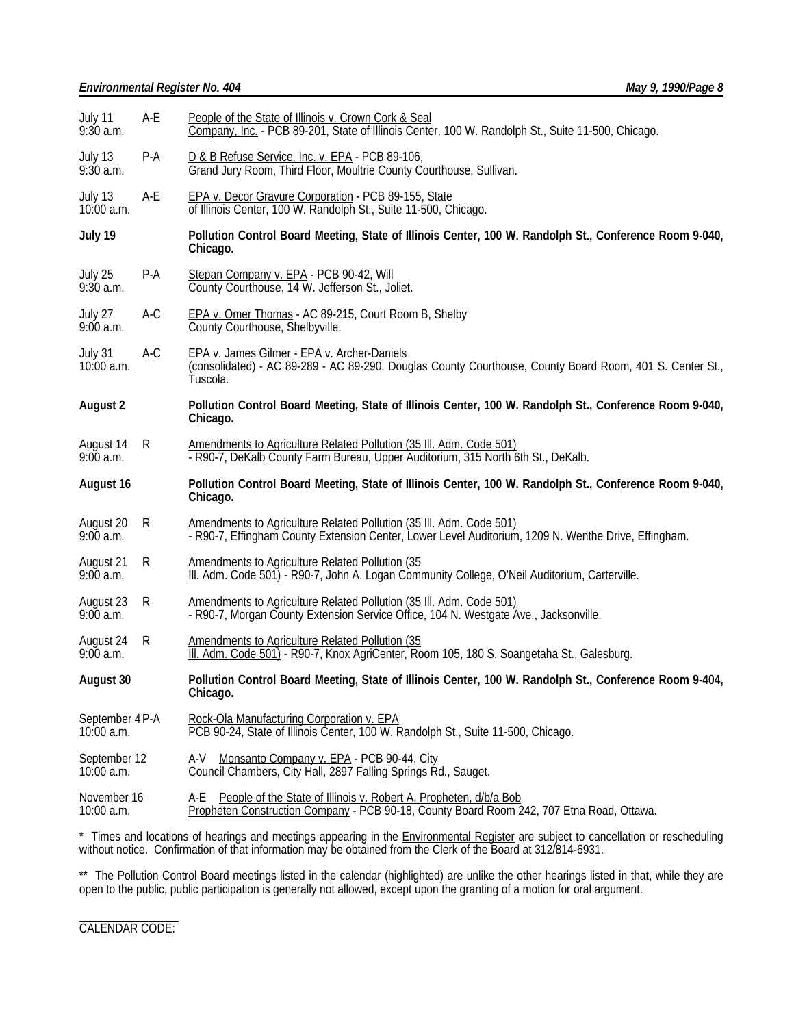## *Environmental Register No. 404 May 9, 1990/Page 8*

| A-E                                                                                                                                                                                                     | People of the State of Illinois v. Crown Cork & Seal<br>Company, Inc. - PCB 89-201, State of Illinois Center, 100 W. Randolph St., Suite 11-500, Chicago.                   |  |  |
|---------------------------------------------------------------------------------------------------------------------------------------------------------------------------------------------------------|-----------------------------------------------------------------------------------------------------------------------------------------------------------------------------|--|--|
| P-A                                                                                                                                                                                                     | D & B Refuse Service, Inc. v. EPA - PCB 89-106,<br>Grand Jury Room, Third Floor, Moultrie County Courthouse, Sullivan.                                                      |  |  |
| A-E                                                                                                                                                                                                     | EPA v. Decor Gravure Corporation - PCB 89-155, State<br>of Illinois Center, 100 W. Randolph St., Suite 11-500, Chicago.                                                     |  |  |
|                                                                                                                                                                                                         | Pollution Control Board Meeting, State of Illinois Center, 100 W. Randolph St., Conference Room 9-040,<br>Chicago.                                                          |  |  |
| $P-A$                                                                                                                                                                                                   | Stepan Company v. EPA - PCB 90-42, Will<br>County Courthouse, 14 W. Jefferson St., Joliet.                                                                                  |  |  |
| $A-C$                                                                                                                                                                                                   | EPA v. Omer Thomas - AC 89-215, Court Room B, Shelby<br>County Courthouse, Shelbyville.                                                                                     |  |  |
| July 31<br>$A-C$<br>EPA v. James Gilmer - EPA v. Archer-Daniels<br>(consolidated) - AC 89-289 - AC 89-290, Douglas County Courthouse, County Board Room, 401 S. Center St.,<br>$10:00$ a.m.<br>Tuscola. |                                                                                                                                                                             |  |  |
|                                                                                                                                                                                                         | Pollution Control Board Meeting, State of Illinois Center, 100 W. Randolph St., Conference Room 9-040,<br>Chicago.                                                          |  |  |
| R                                                                                                                                                                                                       | Amendments to Agriculture Related Pollution (35 III. Adm. Code 501)<br>- R90-7, DeKalb County Farm Bureau, Upper Auditorium, 315 North 6th St., DeKalb.                     |  |  |
|                                                                                                                                                                                                         |                                                                                                                                                                             |  |  |
|                                                                                                                                                                                                         | Pollution Control Board Meeting, State of Illinois Center, 100 W. Randolph St., Conference Room 9-040,<br>Chicago.                                                          |  |  |
| R                                                                                                                                                                                                       | Amendments to Agriculture Related Pollution (35 III. Adm. Code 501)<br>- R90-7, Effingham County Extension Center, Lower Level Auditorium, 1209 N. Wenthe Drive, Effingham. |  |  |
| R                                                                                                                                                                                                       | Amendments to Agriculture Related Pollution (35<br>III. Adm. Code 501) - R90-7, John A. Logan Community College, O'Neil Auditorium, Carterville.                            |  |  |
| R                                                                                                                                                                                                       | Amendments to Agriculture Related Pollution (35 III. Adm. Code 501)<br>- R90-7, Morgan County Extension Service Office, 104 N. Westgate Ave., Jacksonville.                 |  |  |
| R                                                                                                                                                                                                       | Amendments to Agriculture Related Pollution (35<br>III. Adm. Code 501) - R90-7, Knox AgriCenter, Room 105, 180 S. Soangetaha St., Galesburg.                                |  |  |
|                                                                                                                                                                                                         | Pollution Control Board Meeting, State of Illinois Center, 100 W. Randolph St., Conference Room 9-404,<br>Chicago.                                                          |  |  |
| September 4 P-A                                                                                                                                                                                         | Rock-Ola Manufacturing Corporation v. EPA<br>PCB 90-24, State of Illinois Center, 100 W. Randolph St., Suite 11-500, Chicago.                                               |  |  |
| September 12                                                                                                                                                                                            | A-V Monsanto Company v. EPA - PCB 90-44, City<br>Council Chambers, City Hall, 2897 Falling Springs Rd., Sauget.                                                             |  |  |
|                                                                                                                                                                                                         |                                                                                                                                                                             |  |  |

\* Times and locations of hearings and meetings appearing in the **Environmental Register** are subject to cancellation or rescheduling without notice. Confirmation of that information may be obtained from the Clerk of the Board at 312/814-6931.

\*\* The Pollution Control Board meetings listed in the calendar (highlighted) are unlike the other hearings listed in that, while they are open to the public, public participation is generally not allowed, except upon the granting of a motion for oral argument.

l CALENDAR CODE: